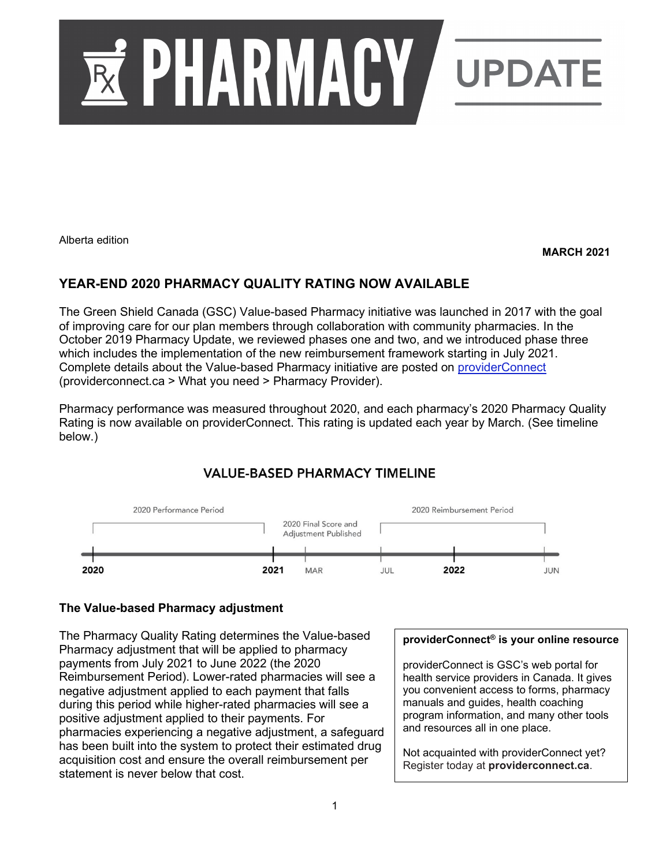

Alberta edition

#### **MARCH 2021**

# **YEAR-END 2020 PHARMACY QUALITY RATING NOW AVAILABLE**

The Green Shield Canada (GSC) Value-based Pharmacy initiative was launched in 2017 with the goal of improving care for our plan members through collaboration with community pharmacies. In the October 2019 Pharmacy Update, we reviewed phases one and two, and we introduced phase three which includes the implementation of the new reimbursement framework starting in July 2021. Complete details about the Value-based Pharmacy initiative are posted on [providerConnect](https://www.providerconnect.ca/AdminContent/Forms.aspx?type=pharmacy) (providerconnect.ca > What you need > Pharmacy Provider).

Pharmacy performance was measured throughout 2020, and each pharmacy's 2020 Pharmacy Quality Rating is now available on providerConnect. This rating is updated each year by March. (See timeline below.)

# **VALUE-BASED PHARMACY TIMELINE**



### **The Value-based Pharmacy adjustment**

The Pharmacy Quality Rating determines the Value-based Pharmacy adjustment that will be applied to pharmacy payments from July 2021 to June 2022 (the 2020 Reimbursement Period). Lower-rated pharmacies will see a negative adjustment applied to each payment that falls during this period while higher-rated pharmacies will see a positive adjustment applied to their payments. For pharmacies experiencing a negative adjustment, a safeguard has been built into the system to protect their estimated drug acquisition cost and ensure the overall reimbursement per statement is never below that cost.

### **providerConnect® is your online resource**

providerConnect is GSC's web portal for health service providers in Canada. It gives you convenient access to forms, pharmacy manuals and guides, health coaching program information, and many other tools and resources all in one place.

Not acquainted with providerConnect yet? Register today at **providerconnect.ca**.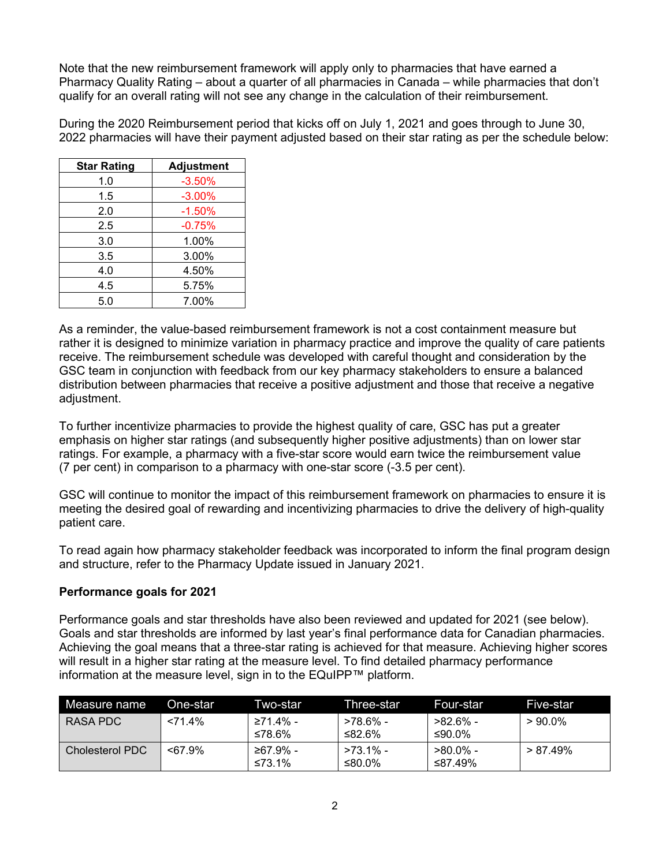Note that the new reimbursement framework will apply only to pharmacies that have earned a Pharmacy Quality Rating – about a quarter of all pharmacies in Canada – while pharmacies that don't qualify for an overall rating will not see any change in the calculation of their reimbursement.

During the 2020 Reimbursement period that kicks off on July 1, 2021 and goes through to June 30, 2022 pharmacies will have their payment adjusted based on their star rating as per the schedule below:

| <b>Star Rating</b> | <b>Adjustment</b> |  |
|--------------------|-------------------|--|
| 1.0                | $-3.50%$          |  |
| 1.5                | $-3.00%$          |  |
| 2.0                | $-1.50%$          |  |
| 2.5                | $-0.75%$          |  |
| 3.0                | 1.00%             |  |
| 3.5                | 3.00%             |  |
| 4.0                | 4.50%             |  |
| 4.5                | 5.75%             |  |
| 5.0                | 7.00%             |  |

As a reminder, the value-based reimbursement framework is not a cost containment measure but rather it is designed to minimize variation in pharmacy practice and improve the quality of care patients receive. The reimbursement schedule was developed with careful thought and consideration by the GSC team in conjunction with feedback from our key pharmacy stakeholders to ensure a balanced distribution between pharmacies that receive a positive adjustment and those that receive a negative adiustment.

To further incentivize pharmacies to provide the highest quality of care, GSC has put a greater emphasis on higher star ratings (and subsequently higher positive adjustments) than on lower star ratings. For example, a pharmacy with a five-star score would earn twice the reimbursement value (7 per cent) in comparison to a pharmacy with one-star score (-3.5 per cent).

GSC will continue to monitor the impact of this reimbursement framework on pharmacies to ensure it is meeting the desired goal of rewarding and incentivizing pharmacies to drive the delivery of high-quality patient care.

To read again how pharmacy stakeholder feedback was incorporated to inform the final program design and structure, refer to the Pharmacy Update issued in January 2021.

### **Performance goals for 2021**

Performance goals and star thresholds have also been reviewed and updated for 2021 (see below). Goals and star thresholds are informed by last year's final performance data for Canadian pharmacies. Achieving the goal means that a three-star rating is achieved for that measure. Achieving higher scores will result in a higher star rating at the measure level. To find detailed pharmacy performance information at the measure level, sign in to the EQuIPP™ platform.

| Measure name    | One-star   | Two-star           | Three-star            | Four-star              | Five-star   |
|-----------------|------------|--------------------|-----------------------|------------------------|-------------|
| RASA PDC        | $< 71.4\%$ | ≥71.4% -<br>≤78.6% | >78.6% -<br>≤82.6%    | -82.6% -<br>≤90.0%     | $>90.0\%$   |
| Cholesterol PDC | $<67.9\%$  | ≥67.9% -<br>≤73.1% | $>73.1\%$ -<br>≤80.0% | $>80.0\%$ -<br>≤87.49% | $> 87.49\%$ |